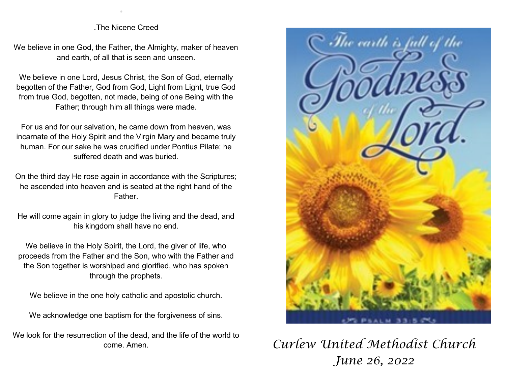## .The Nicene Creed

.

We believe in one God, the Father, the Almighty, maker of heaven and earth, of all that is seen and unseen.

We believe in one Lord, Jesus Christ, the Son of God, eternally begotten of the Father, God from God, Light from Light, true God from true God, begotten, not made, being of one Being with the Father; through him all things were made.

For us and for our salvation, he came down from heaven, was incarnate of the Holy Spirit and the Virgin Mary and became truly human. For our sake he was crucified under Pontius Pilate; he suffered death and was buried.

On the third day He rose again in accordance with the Scriptures; he ascended into heaven and is seated at the right hand of the Father.

He will come again in glory to judge the living and the dead, and his kingdom shall have no end.

We believe in the Holy Spirit, the Lord, the giver of life, who proceeds from the Father and the Son, who with the Father and the Son together is worshiped and glorified, who has spoken through the prophets.

We believe in the one holy catholic and apostolic church.

We acknowledge one baptism for the forgiveness of sins.

We look for the resurrection of the dead, and the life of the world to come. Amen.



*Curlew United Methodist Church June 26, 2022*